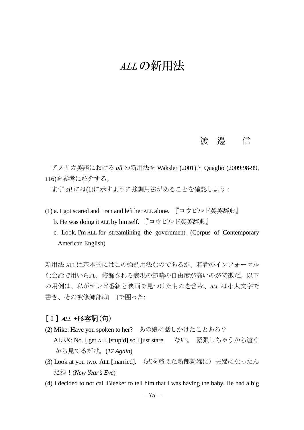# ALL の新用法

### 渡 邊 信

アメリカ英語における *all* の新用法を Waksler (2001)と Quaglio (2009:98-99, 116)を参考に紹介する。

まず *all* には(1)に示すように強調用法があることを確認しよう:

- (1) a. I got scared and I ran and left her ALL alone. 『コウビルド英英辞典』 b. He was doing it ALL by himself. 『コウビルド英英辞典』
	- c. Look, I'm ALL for streamlining the government. (Corpus of Contemporary American English)

新用法 ALLは基本的にはこの強調用法なのであるが、若者のインフォーマル な会話で用いられ、修飾される表現の範疇の自由度が高いのが特徴だ。以下 の用例は、私がテレビ番組と映画で見つけたものを含み、*ALL* は小大文字で 書き、その被修飾部は[ 1で囲った:

- [Ⅰ] ALL +形容詞(句)
- (2) Mike: Have you spoken to her? あの娘に話しかけたことある? ALEX: No. I get ALL [stupid] so I just stare. ない。 緊張しちゃうから遠く から見てるだけ。(*17 Again*)
- (3) Look at you two. ALL [married]. (式を終えた新郎新婦に)夫婦になったん だね!(*New Year's Eve*)
- (4) I decided to not call Bleeker to tell him that I was having the baby. He had a big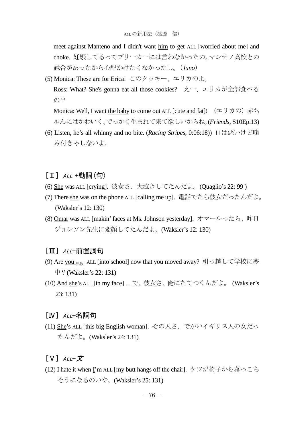meet against Manteno and I didn't want him to get ALL [worried about me] and choke. 妊娠してるってブリーカーには言わなかったの。マンテノ高校との 試合があったから心配かけたくなかったし。(*Juno*)

(5) Monica: These are for Erica! このクッキー、エリカのよ。 Ross: What? She's gonna eat all those cookies? えー、エリカが全部食べる の?

Monica: Well, I want the baby to come out ALL [cute and fat]!  $(\pm \text{ }J\text{)}\pi$ ゃんにはかわいく、でっかく生まれて来て欲しいからね。(*Friends*, S10Ep.13)

- (6) Listen, he's all whinny and no bite. (*Racing Stripes*, 0:06:18)) 口は悪いけど噛 み付きゃしないよ。
- $\lceil$  II  $\rceil$  ALL +動詞(句)
- (6) She was ALL [crying]. 彼女さ、大泣きしてたんだよ。(Quaglio's 22: 99 )
- (7) There she was on the phone ALL [calling me up]. 電話でたら彼女だったんだよ。 (Waksler's 12: 130)
- (8) Omar was ALL [makin'faces at Ms. Johnson yesterday]. オマールったら、昨日 ジョンソン先生に変顔してたんだよ。(Waksler's 12: 130)

#### [Ⅲ] ALL+前置詞句

- (9) Are you 単数 ALL [into school] now that you moved away? 引っ越して学校に夢 中?(Waksler's 22: 131)
- (10) And she's ALL [in my face] …で、彼女さ、俺にたてつくんだよ。 (Waksler's 23: 131)

#### $[IV]$   $A/I$ +名詞句

(11) She's ALL [this big English woman]. その人さ、でかいイギリス人の女だっ たんだよ。(Waksler's 24: 131)

## $\begin{bmatrix} V \end{bmatrix}$   $ALL+\not{\mathcal{I}}$

(12) I hate it when I'm ALL [my butt hangs off the chair]. ケツが椅子から落っこち そうになるのいや。(Waksler's 25: 131)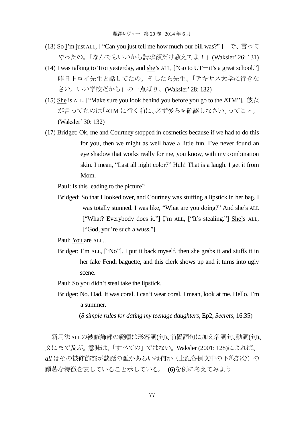- (13) So I'm just ALL, [ "Can you just tell me how much our bill was?" ] で、言って やったの。「なんでもいいから請求額だけ教えてよ!! (Waksler' 26: 131)
- (14) I was talking to Troi yesterday, and she's ALL,  $\lbrack$  "Go to UT $-i$ t's a great school." 昨日トロイ先生と話してたの。そしたら先生、「テキサス大学に行きな さい。いい学校だから」の一点ばり。(Waksler' 28: 132)
- (15) She is ALL, ["Make sure you look behind you before you go to the ATM"]. 彼女 が言ってたのは「ATM に行く前に、必ず後ろを確認しなさい」ってこと。 (Waksler' 30: 132)
- (17) Bridget: Ok, me and Courtney stopped in cosmetics because if we had to do this for you, then we might as well have a little fun. I've never found an eye shadow that works really for me, you know, with my combination skin. I mean, "Last all night color?" Huh! That is a laugh. I get it from Mom.

PauI: Is this leading to the picture?

Bridged: So that I looked over, and Courtney was stuffing a lipstick in her bag. I was totally stunned. I was like, "What are you doing?" And she's ALL ["What? Everybody does it."] I'm ALL, ["It's stealing."] She's ALL, ["God, you're such a wuss."]

Paul: You are ALL…

Bridget: I'm ALL, ["No"]. I put it back myself, then she grabs it and stuffs it in her fake Fendi baguette, and this clerk shows up and it turns into ugly scene.

Paul: So you didn't steal take the lipstick.

Bridget: No. Dad. It was coral. I can't wear coral. I mean, look at me. Hello. I'm a summer.

(*8 simple rules for dating my teenage daughters*, Ep2, *Secrets*, 16:35)

新用法ALLの被修飾部の範疇は形容詞(句)、前置詞句に加え名詞句、動詞(句)、 文にまで及ぶ。意味は、「すべての」ではない。Waksler (2001: 128)によれば、 *all* はその被修飾部が談話の誰かあるいは何か(上記各例文中の下線部分)の 顕著な特徴を表していること示している。 (6)を例に考えてみよう: